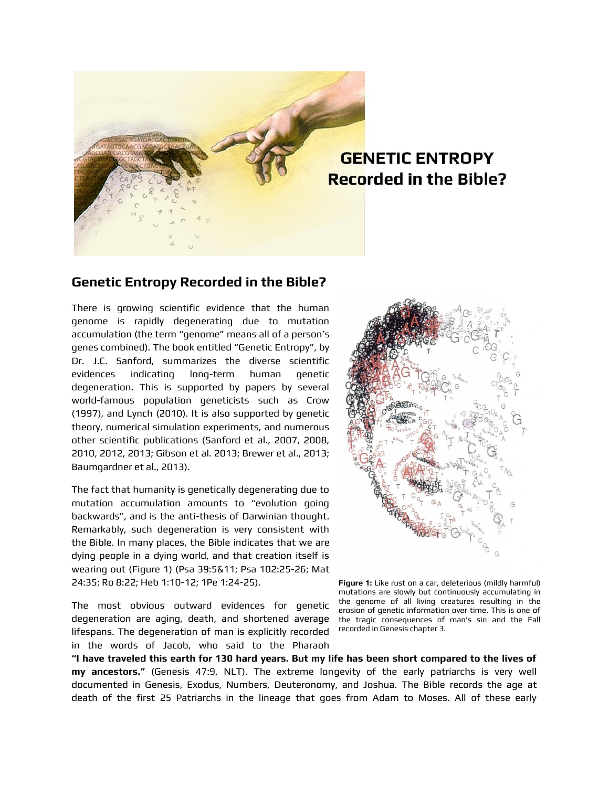

## **GENETIC ENTROPY Recorded in the Bible?**

## **Genetic Entropy Recorded in the Bible?**

There is growing scientific evidence that the human genome is rapidly degenerating due to mutation accumulation (the term "genome" means all of a person's genes combined). The book entitled "Genetic Entropy", by Dr. J.C. Sanford, summarizes the diverse scientific evidences indicating long-term human genetic degeneration. This is supported by papers by several world-famous population geneticists such as Crow (1997), and Lynch (2010). It is also supported by genetic theory, numerical simulation experiments, and numerous other scientific publications (Sanford et al., 2007, 2008, 2010, 2012, 2013; Gibson et al. 2013; Brewer et al., 2013; Baumgardner et al., 2013).

The fact that humanity is genetically degenerating due to mutation accumulation amounts to "evolution going backwards", and is the anti-thesis of Darwinian thought. Remarkably, such degeneration is very consistent with the Bible. In many places, the Bible indicates that we are dying people in a dying world, and that creation itself is wearing out (Figure 1) (Psa 39:5&11; Psa 102:25-26; Mat 24:35; Ro 8:22; Heb 1:10-12; 1Pe 1:24-25).

The most obvious outward evidences for genetic degeneration are aging, death, and shortened average lifespans. The degeneration of man is explicitly recorded in the words of Jacob, who said to the Pharaoh



**Figure 1:** Like rust on a car, deleterious (mildly harmful) mutations are slowly but continuously accumulating in the genome of all living creatures resulting in the erosion of genetic information over time. This is one of the tragic consequences of man's sin and the Fall recorded in Genesis chapter 3.

**"I have traveled this earth for 130 hard years. But my life has been short compared to the lives of my ancestors."** (Genesis 47:9, NLT). The extreme longevity of the early patriarchs is very well documented in Genesis, Exodus, Numbers, Deuteronomy, and Joshua. The Bible records the age at death of the first 25 Patriarchs in the lineage that goes from Adam to Moses. All of these early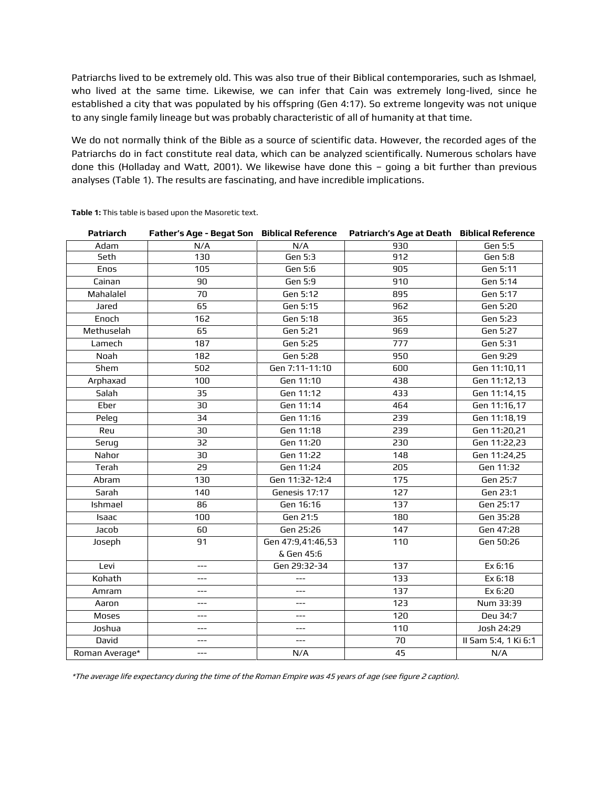Patriarchs lived to be extremely old. This was also true of their Biblical contemporaries, such as Ishmael, who lived at the same time. Likewise, we can infer that Cain was extremely long-lived, since he established a city that was populated by his offspring (Gen 4:17). So extreme longevity was not unique to any single family lineage but was probably characteristic of all of humanity at that time.

We do not normally think of the Bible as a source of scientific data. However, the recorded ages of the Patriarchs do in fact constitute real data, which can be analyzed scientifically. Numerous scholars have done this (Holladay and Watt, 2001). We likewise have done this – going a bit further than previous analyses (Table 1). The results are fascinating, and have incredible implications.

| <b>Patriarch</b> | Father's Age - Begat Son Biblical Reference |                   | Patriarch's Age at Death Biblical Reference |                      |
|------------------|---------------------------------------------|-------------------|---------------------------------------------|----------------------|
| Adam             | N/A                                         | N/A               | 930                                         | <b>Gen 5:5</b>       |
| Seth             | 130                                         | Gen 5:3           | 912                                         | <b>Gen 5:8</b>       |
| Enos             | 105                                         | Gen 5:6           | 905                                         | Gen 5:11             |
| Cainan           | 90                                          | Gen 5:9           | 910                                         | Gen 5:14             |
| Mahalalel        | 70                                          | Gen 5:12          | 895                                         | Gen 5:17             |
| Jared            | 65                                          | Gen 5:15          | 962                                         | Gen 5:20             |
| Enoch            | 162                                         | Gen 5:18          | 365                                         | Gen 5:23             |
| Methuselah       | 65                                          | Gen 5:21          | 969                                         | Gen 5:27             |
| Lamech           | 187                                         | Gen 5:25          | 777                                         | Gen 5:31             |
| Noah             | 182                                         | Gen 5:28          | 950                                         | Gen 9:29             |
| Shem             | 502                                         | Gen 7:11-11:10    | 600                                         | Gen 11:10,11         |
| Arphaxad         | 100                                         | Gen 11:10         | 438                                         | Gen 11:12,13         |
| Salah            | 35                                          | Gen 11:12         | 433                                         | Gen 11:14,15         |
| Eber             | 30                                          | Gen 11:14         | 464                                         | Gen 11:16,17         |
| Peleg            | 34                                          | Gen 11:16         | 239                                         | Gen 11:18,19         |
| Reu              | 30                                          | Gen 11:18         | 239                                         | Gen 11:20,21         |
| Serug            | 32                                          | Gen 11:20         | 230                                         | Gen 11:22,23         |
| Nahor            | 30                                          | Gen 11:22         | 148                                         | Gen 11:24,25         |
| Terah            | 29                                          | Gen 11:24         | 205                                         | Gen 11:32            |
| Abram            | 130                                         | Gen 11:32-12:4    | 175                                         | Gen 25:7             |
| Sarah            | 140                                         | Genesis 17:17     | 127                                         | Gen 23:1             |
| Ishmael          | 86                                          | Gen 16:16         | 137                                         | Gen 25:17            |
| Isaac            | 100                                         | Gen 21:5          | 180                                         | Gen 35:28            |
| Jacob            | 60                                          | Gen 25:26         | 147                                         | Gen 47:28            |
| Joseph           | 91                                          | Gen 47:9,41:46,53 | 110                                         | Gen 50:26            |
|                  |                                             | & Gen 45:6        |                                             |                      |
| Levi             | ---                                         | Gen 29:32-34      | 137                                         | Ex 6:16              |
| Kohath           | $---$                                       | $---$             | 133                                         | Ex 6:18              |
| Amram            | $---$                                       | ---               | 137                                         | Ex 6:20              |
| Aaron            | ---                                         | ---               | 123                                         | Num 33:39            |
| Moses            | ---                                         | $---$             | 120                                         | Deu 34:7             |
| Joshua           | ---                                         | $---$             | 110                                         | Josh 24:29           |
| David            | ---                                         | $---$             | 70                                          | II Sam 5:4, 1 Ki 6:1 |
| Roman Average*   | ---                                         | N/A               | 45                                          | N/A                  |

**Table 1:** This table is based upon the Masoretic text.

\*The average life expectancy during the time of the Roman Empire was 45 years of age (see figure 2 caption).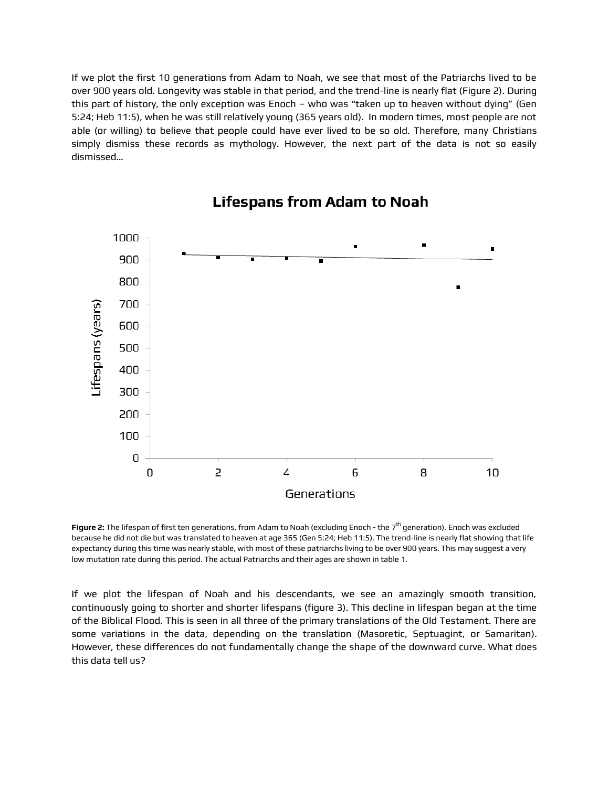If we plot the first 10 generations from Adam to Noah, we see that most of the Patriarchs lived to be over 900 years old. Longevity was stable in that period, and the trend-line is nearly flat (Figure 2). During this part of history, the only exception was Enoch – who was "taken up to heaven without dying" (Gen 5:24; Heb 11:5), when he was still relatively young (365 years old). In modern times, most people are not able (or willing) to believe that people could have ever lived to be so old. Therefore, many Christians simply dismiss these records as mythology. However, the next part of the data is not so easily dismissed…



## **Lifespans from Adam to Noah**

**Figure 2:** The lifespan of first ten generations, from Adam to Noah (excluding Enoch - the 7th generation). Enoch was excluded because he did not die but was translated to heaven at age 365 (Gen 5:24; Heb 11:5). The trend-line is nearly flat showing that life expectancy during this time was nearly stable, with most of these patriarchs living to be over 900 years. This may suggest a very low mutation rate during this period. The actual Patriarchs and their ages are shown in table 1.

If we plot the lifespan of Noah and his descendants, we see an amazingly smooth transition, continuously going to shorter and shorter lifespans (figure 3). This decline in lifespan began at the time of the Biblical Flood. This is seen in all three of the primary translations of the Old Testament. There are some variations in the data, depending on the translation (Masoretic, Septuagint, or Samaritan). However, these differences do not fundamentally change the shape of the downward curve. What does this data tell us?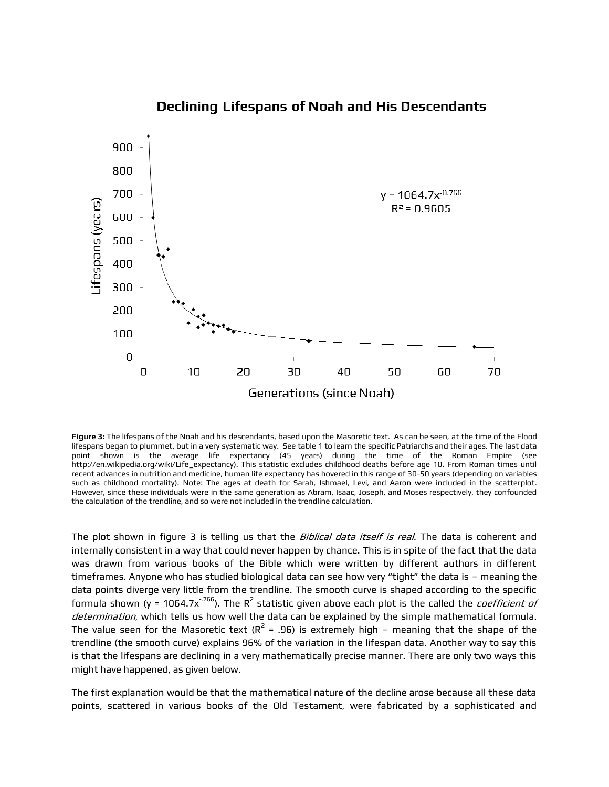

### **Declining Lifespans of Noah and His Descendants**

**Figure 3:** The lifespans of the Noah and his descendants, based upon the Masoretic text. As can be seen, at the time of the Flood lifespans began to plummet, but in a very systematic way. See table 1 to learn the specific Patriarchs and their ages. The last data point shown is the average life expectancy (45 years) during the time of the Roman Empire (see http://en.wikipedia.org/wiki/Life\_expectancy). This statistic excludes childhood deaths before age 10. From Roman times until recent advances in nutrition and medicine, human life expectancy has hovered in this range of 30-50 years (depending on variables such as childhood mortality). Note: The ages at death for Sarah, Ishmael, Levi, and Aaron were included in the scatterplot. However, since these individuals were in the same generation as Abram, Isaac, Joseph, and Moses respectively, they confounded the calculation of the trendline, and so were not included in the trendline calculation.

The plot shown in figure 3 is telling us that the *Biblical data itself is real*. The data is coherent and internally consistent in a way that could never happen by chance. This is in spite of the fact that the data was drawn from various books of the Bible which were written by different authors in different timeframes. Anyone who has studied biological data can see how very "tight" the data is – meaning the data points diverge very little from the trendline. The smooth curve is shaped according to the specific formula shown (y = 1064.7x<sup>-.766</sup>). The R<sup>2</sup> statistic given above each plot is the called the *coefficient of* determination, which tells us how well the data can be explained by the simple mathematical formula. The value seen for the Masoretic text (R<sup>2</sup> = .96) is extremely high – meaning that the shape of the trendline (the smooth curve) explains 96% of the variation in the lifespan data. Another way to say this is that the lifespans are declining in a very mathematically precise manner. There are only two ways this might have happened, as given below.

The first explanation would be that the mathematical nature of the decline arose because all these data points, scattered in various books of the Old Testament, were fabricated by a sophisticated and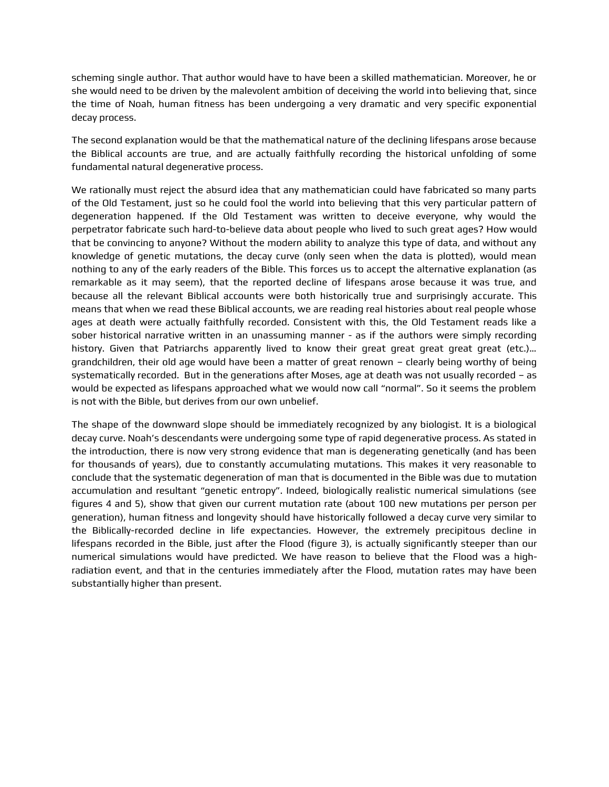scheming single author. That author would have to have been a skilled mathematician. Moreover, he or she would need to be driven by the malevolent ambition of deceiving the world into believing that, since the time of Noah, human fitness has been undergoing a very dramatic and very specific exponential decay process.

The second explanation would be that the mathematical nature of the declining lifespans arose because the Biblical accounts are true, and are actually faithfully recording the historical unfolding of some fundamental natural degenerative process.

We rationally must reject the absurd idea that any mathematician could have fabricated so many parts of the Old Testament, just so he could fool the world into believing that this very particular pattern of degeneration happened. If the Old Testament was written to deceive everyone, why would the perpetrator fabricate such hard-to-believe data about people who lived to such great ages? How would that be convincing to anyone? Without the modern ability to analyze this type of data, and without any knowledge of genetic mutations, the decay curve (only seen when the data is plotted), would mean nothing to any of the early readers of the Bible. This forces us to accept the alternative explanation (as remarkable as it may seem), that the reported decline of lifespans arose because it was true, and because all the relevant Biblical accounts were both historically true and surprisingly accurate. This means that when we read these Biblical accounts, we are reading real histories about real people whose ages at death were actually faithfully recorded. Consistent with this, the Old Testament reads like a sober historical narrative written in an unassuming manner - as if the authors were simply recording history. Given that Patriarchs apparently lived to know their great great great great great (etc.)… grandchildren, their old age would have been a matter of great renown – clearly being worthy of being systematically recorded. But in the generations after Moses, age at death was not usually recorded – as would be expected as lifespans approached what we would now call "normal". So it seems the problem is not with the Bible, but derives from our own unbelief.

The shape of the downward slope should be immediately recognized by any biologist. It is a biological decay curve. Noah's descendants were undergoing some type of rapid degenerative process. As stated in the introduction, there is now very strong evidence that man is degenerating genetically (and has been for thousands of years), due to constantly accumulating mutations. This makes it very reasonable to conclude that the systematic degeneration of man that is documented in the Bible was due to mutation accumulation and resultant "genetic entropy". Indeed, biologically realistic numerical simulations (see figures 4 and 5), show that given our current mutation rate (about 100 new mutations per person per generation), human fitness and longevity should have historically followed a decay curve very similar to the Biblically-recorded decline in life expectancies. However, the extremely precipitous decline in lifespans recorded in the Bible, just after the Flood (figure 3), is actually significantly steeper than our numerical simulations would have predicted. We have reason to believe that the Flood was a highradiation event, and that in the centuries immediately after the Flood, mutation rates may have been substantially higher than present.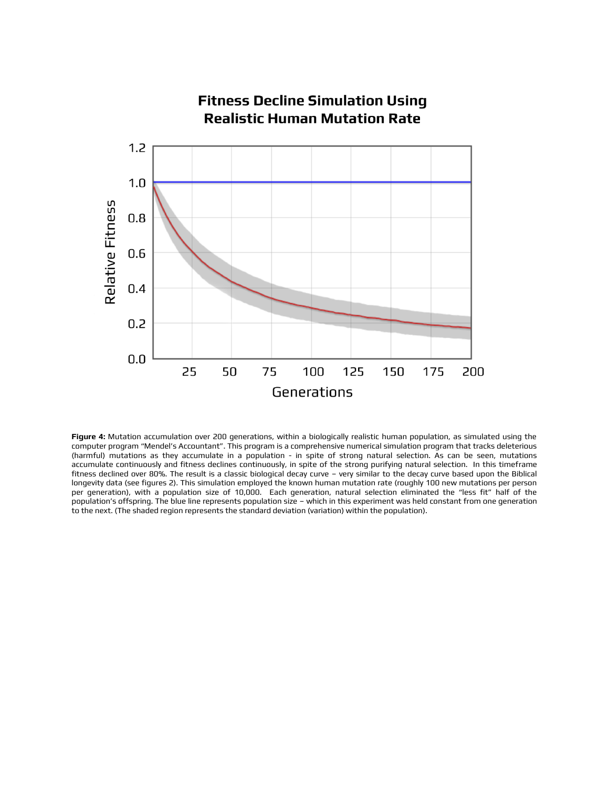

**Figure 4:** Mutation accumulation over 200 generations, within a biologically realistic human population, as simulated using the computer program "Mendel's Accountant". This program is a comprehensive numerical simulation program that tracks deleterious (harmful) mutations as they accumulate in a population - in spite of strong natural selection. As can be seen, mutations accumulate continuously and fitness declines continuously, in spite of the strong purifying natural selection. In this timeframe fitness declined over 80%. The result is a classic biological decay curve – very similar to the decay curve based upon the Biblical longevity data (see figures 2). This simulation employed the known human mutation rate (roughly 100 new mutations per person per generation), with a population size of 10,000. Each generation, natural selection eliminated the "less fit" half of the population's offspring. The blue line represents population size – which in this experiment was held constant from one generation to the next. (The shaded region represents the standard deviation (variation) within the population).

# **Fitness Decline Simulation Using**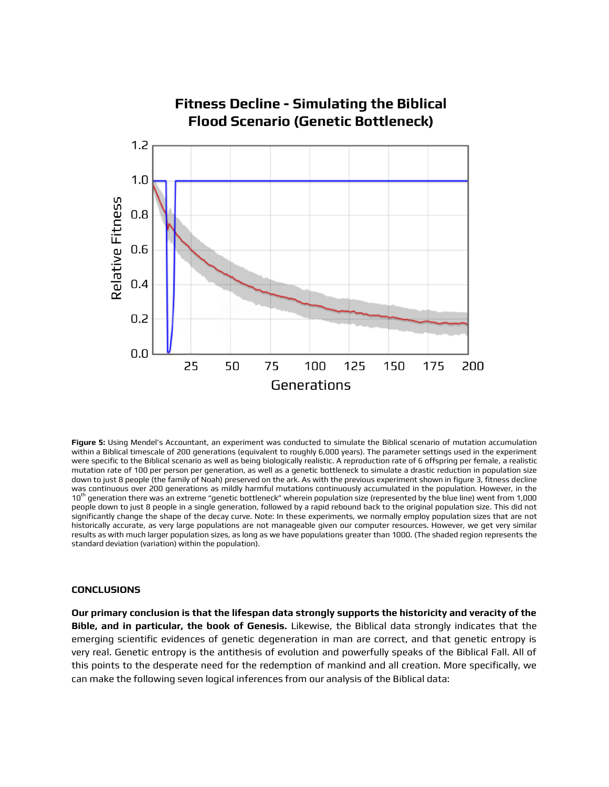

**Figure 5:** Using Mendel's Accountant, an experiment was conducted to simulate the Biblical scenario of mutation accumulation within a Biblical timescale of 200 generations (equivalent to roughly 6,000 years). The parameter settings used in the experiment were specific to the Biblical scenario as well as being biologically realistic. A reproduction rate of 6 offspring per female, a realistic mutation rate of 100 per person per generation, as well as a genetic bottleneck to simulate a drastic reduction in population size down to just 8 people (the family of Noah) preserved on the ark. As with the previous experiment shown in figure 3, fitness decline was continuous over 200 generations as mildly harmful mutations continuously accumulated in the population. However, in the 10<sup>th</sup> generation there was an extreme "genetic bottleneck" wherein population size (represented by the blue line) went from 1,000 people down to just 8 people in a single generation, followed by a rapid rebound back to the original population size. This did not significantly change the shape of the decay curve. Note: In these experiments, we normally employ population sizes that are not historically accurate, as very large populations are not manageable given our computer resources. However, we get very similar results as with much larger population sizes, as long as we have populations greater than 1000. (The shaded region represents the standard deviation (variation) within the population).

#### **CONCLUSIONS**

**Our primary conclusion is that the lifespan data strongly supports the historicity and veracity of the Bible, and in particular, the book of Genesis.** Likewise, the Biblical data strongly indicates that the emerging scientific evidences of genetic degeneration in man are correct, and that genetic entropy is very real. Genetic entropy is the antithesis of evolution and powerfully speaks of the Biblical Fall. All of this points to the desperate need for the redemption of mankind and all creation. More specifically, we can make the following seven logical inferences from our analysis of the Biblical data: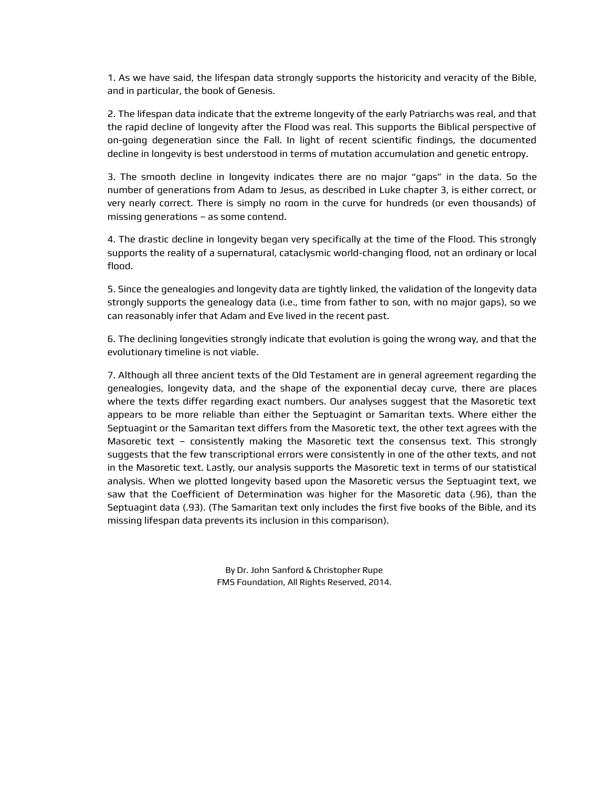1. As we have said, the lifespan data strongly supports the historicity and veracity of the Bible, and in particular, the book of Genesis.

2. The lifespan data indicate that the extreme longevity of the early Patriarchs was real, and that the rapid decline of longevity after the Flood was real. This supports the Biblical perspective of on-going degeneration since the Fall. In light of recent scientific findings, the documented decline in longevity is best understood in terms of mutation accumulation and genetic entropy.

3. The smooth decline in longevity indicates there are no major "gaps" in the data. So the number of generations from Adam to Jesus, as described in Luke chapter 3, is either correct, or very nearly correct. There is simply no room in the curve for hundreds (or even thousands) of missing generations – as some contend.

4. The drastic decline in longevity began very specifically at the time of the Flood. This strongly supports the reality of a supernatural, cataclysmic world-changing flood, not an ordinary or local flood.

5. Since the genealogies and longevity data are tightly linked, the validation of the longevity data strongly supports the genealogy data (i.e., time from father to son, with no major gaps), so we can reasonably infer that Adam and Eve lived in the recent past.

6. The declining longevities strongly indicate that evolution is going the wrong way, and that the evolutionary timeline is not viable.

7. Although all three ancient texts of the Old Testament are in general agreement regarding the genealogies, longevity data, and the shape of the exponential decay curve, there are places where the texts differ regarding exact numbers. Our analyses suggest that the Masoretic text appears to be more reliable than either the Septuagint or Samaritan texts. Where either the Septuagint or the Samaritan text differs from the Masoretic text, the other text agrees with the Masoretic text – consistently making the Masoretic text the consensus text. This strongly suggests that the few transcriptional errors were consistently in one of the other texts, and not in the Masoretic text. Lastly, our analysis supports the Masoretic text in terms of our statistical analysis. When we plotted longevity based upon the Masoretic versus the Septuagint text, we saw that the Coefficient of Determination was higher for the Masoretic data (.96), than the Septuagint data (.93). (The Samaritan text only includes the first five books of the Bible, and its missing lifespan data prevents its inclusion in this comparison).

> By Dr. John Sanford & Christopher Rupe FMS Foundation, All Rights Reserved, 2014.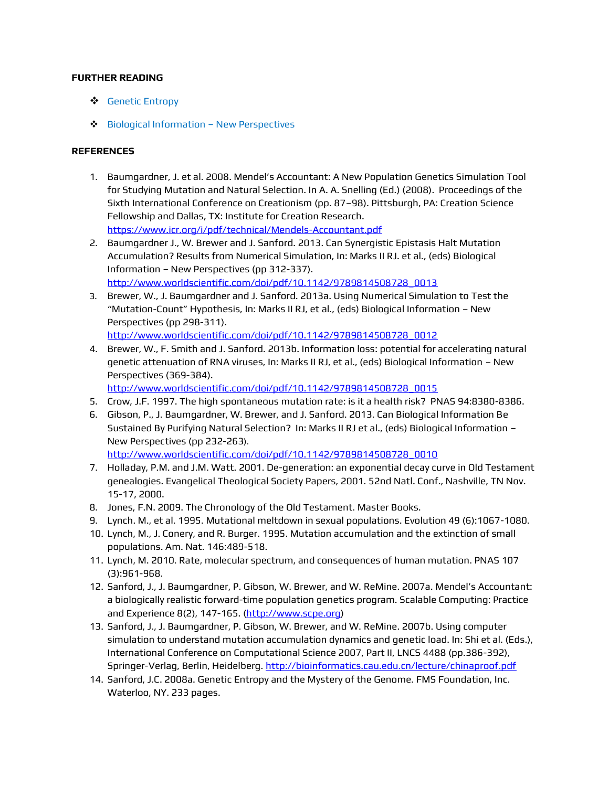### **FURTHER READING**

- [Genetic Entropy](http://creation.com/search?q=genetic+entropy)
- ◆ [Biological Information](http://www.biologicalinformationnewperspectives.org/)  New Perspectives

### **REFERENCES**

- 1. Baumgardner, J. et al. 2008. Mendel's Accountant: A New Population Genetics Simulation Tool for Studying Mutation and Natural Selection. In A. A. Snelling (Ed.) (2008). Proceedings of the Sixth International Conference on Creationism (pp. 87–98). Pittsburgh, PA: Creation Science Fellowship and Dallas, TX: Institute for Creation Research. <https://www.icr.org/i/pdf/technical/Mendels-Accountant.pdf>
- 2. Baumgardner J., W. Brewer and J. Sanford. 2013. Can Synergistic Epistasis Halt Mutation Accumulation? Results from Numerical Simulation, In: Marks II RJ. et al., (eds) Biological Information – New Perspectives (pp 312-337). [http://www.worldscientific.com/doi/pdf/10.1142/9789814508728\\_0013](http://www.worldscientific.com/doi/pdf/10.1142/9789814508728_0013)
- 3. Brewer, W., J. Baumgardner and J. Sanford. 2013a. Using Numerical Simulation to Test the "Mutation-Count" Hypothesis, In: Marks II RJ, et al., (eds) Biological Information – New Perspectives (pp 298-311).

[http://www.worldscientific.com/doi/pdf/10.1142/9789814508728\\_0012](http://www.worldscientific.com/doi/pdf/10.1142/9789814508728_0012)

4. Brewer, W., F. Smith and J. Sanford. 2013b. Information loss: potential for accelerating natural genetic attenuation of RNA viruses, In: Marks II RJ, et al., (eds) Biological Information – New Perspectives (369-384).

[http://www.worldscientific.com/doi/pdf/10.1142/9789814508728\\_0015](http://www.worldscientific.com/doi/pdf/10.1142/9789814508728_0015)

- 5. Crow, J.F. 1997. The high spontaneous mutation rate: is it a health risk? PNAS 94:8380-8386.
- 6. Gibson, P., J. Baumgardner, W. Brewer, and J. Sanford. 2013. Can Biological Information Be Sustained By Purifying Natural Selection? In: Marks II RJ et al., (eds) Biological Information – New Perspectives (pp 232-263). [http://www.worldscientific.com/doi/pdf/10.1142/9789814508728\\_0010](http://www.worldscientific.com/doi/pdf/10.1142/9789814508728_0010)
- 7. Holladay, P.M. and J.M. Watt. 2001. De-generation: an exponential decay curve in Old Testament genealogies. Evangelical Theological Society Papers, 2001. 52nd Natl. Conf., Nashville, TN Nov. 15-17, 2000.
- 8. Jones, F.N. 2009. The Chronology of the Old Testament. Master Books.
- 9. Lynch. M., et al. 1995. Mutational meltdown in sexual populations. Evolution 49 (6):1067-1080.
- 10. Lynch, M., J. Conery, and R. Burger. 1995. Mutation accumulation and the extinction of small populations. Am. Nat. 146:489-518.
- 11. Lynch, M. 2010. Rate, molecular spectrum, and consequences of human mutation. PNAS 107 (3):961-968.
- 12. Sanford, J., J. Baumgardner, P. Gibson, W. Brewer, and W. ReMine. 2007a. Mendel's Accountant: a biologically realistic forward-time population genetics program. Scalable Computing: Practice and Experience 8(2), 147-165. [\(http://www.scpe.org\)](http://www.scpe.org/)
- 13. Sanford, J., J. Baumgardner, P. Gibson, W. Brewer, and W. ReMine. 2007b. Using computer simulation to understand mutation accumulation dynamics and genetic load. In: Shi et al. (Eds.), International Conference on Computational Science 2007, Part II, LNCS 4488 (pp.386-392), Springer-Verlag, Berlin, Heidelberg.<http://bioinformatics.cau.edu.cn/lecture/chinaproof.pdf>
- 14. Sanford, J.C. 2008a. Genetic Entropy and the Mystery of the Genome. FMS Foundation, Inc. Waterloo, NY. 233 pages.